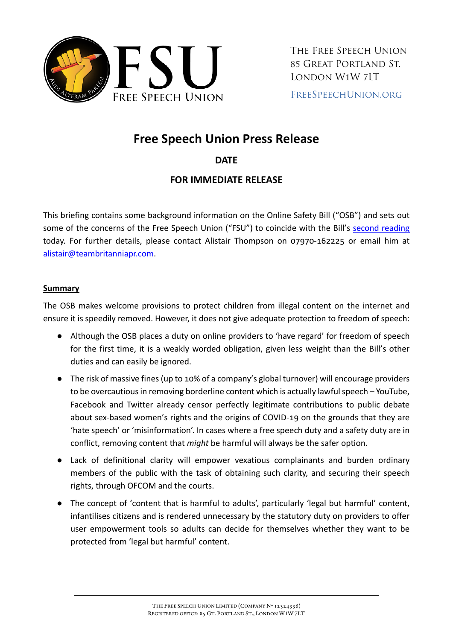

# **Free Speech Union Press Release**

## **DATE**

## **FOR IMMEDIATE RELEASE**

This briefing contains some background information on the Online Safety Bill ("OSB") and sets out some of the concerns of the Free Speech Union ("FSU") to coincide with the Bill's [second reading](https://commonsbusiness.parliament.uk/document/55879/html#_idTextAnchor003) today. For further details, please contact Alistair Thompson on 07970-162225 or email him at [alistair@teambritanniapr.com.](mailto:alistair@teambritanniapr.com?subject=Free%20Speech%20Union)

#### **Summary**

The OSB makes welcome provisions to protect children from illegal content on the internet and ensure it is speedily removed. However, it does not give adequate protection to freedom of speech:

- Although the OSB places a duty on online providers to 'have regard' for freedom of speech for the first time, it is a weakly worded obligation, given less weight than the Bill's other duties and can easily be ignored.
- The risk of massive fines (up to 10% of a company's global turnover) will encourage providers to be overcautious in removing borderline content which is actually lawful speech – YouTube, Facebook and Twitter already censor perfectly legitimate contributions to public debate about sex-based women's rights and the origins of COVID-19 on the grounds that they are 'hate speech' or 'misinformation'. In cases where a free speech duty and a safety duty are in conflict, removing content that *might* be harmful will always be the safer option.
- Lack of definitional clarity will empower vexatious complainants and burden ordinary members of the public with the task of obtaining such clarity, and securing their speech rights, through OFCOM and the courts.
- The concept of 'content that is harmful to adults', particularly 'legal but harmful' content, infantilises citizens and is rendered unnecessary by the statutory duty on providers to offer user empowerment tools so adults can decide for themselves whether they want to be protected from 'legal but harmful' content.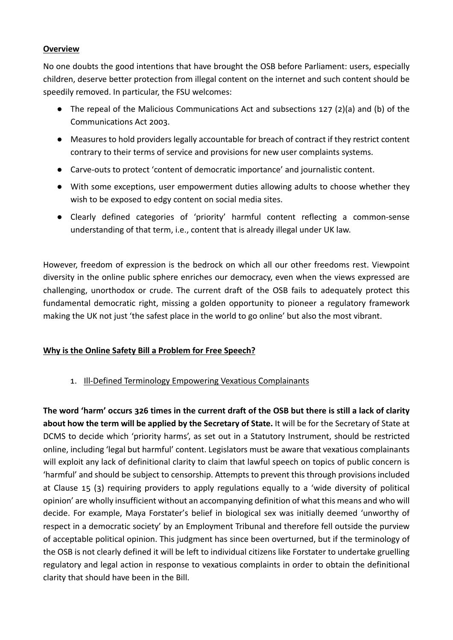#### **Overview**

No one doubts the good intentions that have brought the OSB before Parliament: users, especially children, deserve better protection from illegal content on the internet and such content should be speedily removed. In particular, the FSU welcomes:

- The repeal of the Malicious Communications Act and subsections 127 (2)(a) and (b) of the Communications Act 2003.
- Measures to hold providers legally accountable for breach of contract if they restrict content contrary to their terms of service and provisions for new user complaints systems.
- Carve-outs to protect 'content of democratic importance' and journalistic content.
- With some exceptions, user empowerment duties allowing adults to choose whether they wish to be exposed to edgy content on social media sites.
- Clearly defined categories of 'priority' harmful content reflecting a common-sense understanding of that term, i.e., content that is already illegal under UK law.

However, freedom of expression is the bedrock on which all our other freedoms rest. Viewpoint diversity in the online public sphere enriches our democracy, even when the views expressed are challenging, unorthodox or crude. The current draft of the OSB fails to adequately protect this fundamental democratic right, missing a golden opportunity to pioneer a regulatory framework making the UK not just 'the safest place in the world to go online' but also the most vibrant.

#### **Why is the Online Safety Bill a Problem for Free Speech?**

1. Ill-Defined Terminology Empowering Vexatious Complainants

**The word 'harm' occurs 326 times in the current draft of the OSB but there is still a lack of clarity about how the term will be applied by the Secretary of State.** It will be for the Secretary of State at DCMS to decide which 'priority harms', as set out in a Statutory Instrument, should be restricted online, including 'legal but harmful' content. Legislators must be aware that vexatious complainants will exploit any lack of definitional clarity to claim that lawful speech on topics of public concern is 'harmful' and should be subject to censorship. Attempts to prevent this through provisions included at Clause 15 (3) requiring providers to apply regulations equally to a 'wide diversity of political opinion' are wholly insufficient without an accompanying definition of what this means and who will decide. For example, Maya Forstater's belief in biological sex was initially deemed 'unworthy of respect in a democratic society' by an Employment Tribunal and therefore fell outside the purview of acceptable political opinion. This judgment has since been overturned, but if the terminology of the OSB is not clearly defined it will be left to individual citizens like Forstater to undertake gruelling regulatory and legal action in response to vexatious complaints in order to obtain the definitional clarity that should have been in the Bill.